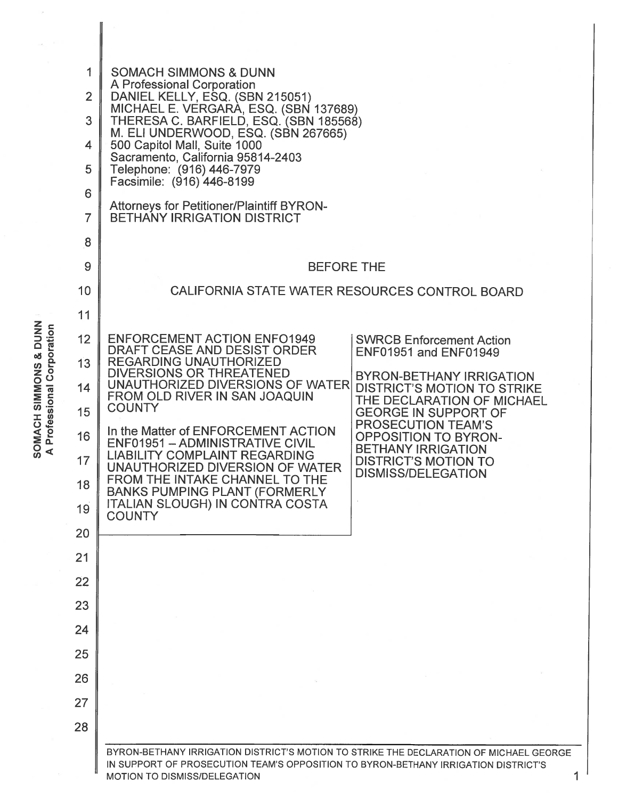|                                                                           | 1<br><b>SOMACH SIMMONS &amp; DUNN</b><br>A Professional Corporation<br>$\overline{2}$<br>DANIEL KELLY, ESQ. (SBN 215051) |                                                                                                                                                                                                              |  |  |  |  |
|---------------------------------------------------------------------------|--------------------------------------------------------------------------------------------------------------------------|--------------------------------------------------------------------------------------------------------------------------------------------------------------------------------------------------------------|--|--|--|--|
|                                                                           | 3                                                                                                                        | MICHAEL E. VERGARA, ESQ. (SBN 137689)<br>THERESA C. BARFIELD, ESQ. (SBN 185568)                                                                                                                              |  |  |  |  |
|                                                                           | 4                                                                                                                        | M. ELI UNDERWOOD, ESQ. (SBN 267665)<br>500 Capitol Mall, Suite 1000                                                                                                                                          |  |  |  |  |
|                                                                           | 5                                                                                                                        | Sacramento, California 95814-2403<br>Telephone: (916) 446-7979                                                                                                                                               |  |  |  |  |
|                                                                           | 6                                                                                                                        | Facsimile: (916) 446-8199                                                                                                                                                                                    |  |  |  |  |
|                                                                           | 7                                                                                                                        | <b>Attorneys for Petitioner/Plaintiff BYRON-</b><br><b>BETHANY IRRIGATION DISTRICT</b>                                                                                                                       |  |  |  |  |
|                                                                           | 8                                                                                                                        |                                                                                                                                                                                                              |  |  |  |  |
|                                                                           | 9                                                                                                                        | <b>BEFORE THE</b>                                                                                                                                                                                            |  |  |  |  |
|                                                                           | 10                                                                                                                       | CALIFORNIA STATE WATER RESOURCES CONTROL BOARD                                                                                                                                                               |  |  |  |  |
|                                                                           | 11                                                                                                                       |                                                                                                                                                                                                              |  |  |  |  |
|                                                                           | 12                                                                                                                       | <b>ENFORCEMENT ACTION ENFO1949</b><br><b>SWRCB Enforcement Action</b><br>DRAFT CEASE AND DESIST ORDER                                                                                                        |  |  |  |  |
|                                                                           | 13                                                                                                                       | <b>ENF01951 and ENF01949</b><br><b>REGARDING UNAUTHORIZED</b><br>DIVERSIONS OR THREATENED                                                                                                                    |  |  |  |  |
|                                                                           | 14                                                                                                                       | <b>BYRON-BETHANY IRRIGATION</b><br>UNAUTHORIZED DIVERSIONS OF WATER<br><b>DISTRICT'S MOTION TO STRIKE</b><br>FROM OLD RIVER IN SAN JOAQUIN                                                                   |  |  |  |  |
| SOMACH SIMMONS & DUNN<br>Professional Corporation<br>$\blacktriangleleft$ | 15                                                                                                                       | THE DECLARATION OF MICHAEL<br><b>COUNTY</b><br><b>GEORGE IN SUPPORT OF</b>                                                                                                                                   |  |  |  |  |
|                                                                           | 16                                                                                                                       | PROSECUTION TEAM'S<br>In the Matter of ENFORCEMENT ACTION<br><b>OPPOSITION TO BYRON-</b><br>ENF01951 - ADMINISTRATIVE CIVIL<br><b>BETHANY IRRIGATION</b>                                                     |  |  |  |  |
|                                                                           | 17                                                                                                                       | <b>LIABILITY COMPLAINT REGARDING</b><br><b>DISTRICT'S MOTION TO</b><br>UNAUTHORIZED DIVERSION OF WATER<br><b>DISMISS/DELEGATION</b>                                                                          |  |  |  |  |
|                                                                           | 18                                                                                                                       | FROM THE INTAKE CHANNEL TO THE<br><b>BANKS PUMPING PLANT (FORMERLY</b>                                                                                                                                       |  |  |  |  |
|                                                                           | 19                                                                                                                       | <b>ITALIAN SLOUGH) IN CONTRA COSTA</b><br><b>COUNTY</b>                                                                                                                                                      |  |  |  |  |
|                                                                           | 20                                                                                                                       |                                                                                                                                                                                                              |  |  |  |  |
|                                                                           | 21                                                                                                                       |                                                                                                                                                                                                              |  |  |  |  |
|                                                                           | 22                                                                                                                       |                                                                                                                                                                                                              |  |  |  |  |
|                                                                           | 23                                                                                                                       |                                                                                                                                                                                                              |  |  |  |  |
|                                                                           | 24                                                                                                                       |                                                                                                                                                                                                              |  |  |  |  |
|                                                                           | 25                                                                                                                       |                                                                                                                                                                                                              |  |  |  |  |
|                                                                           | 26                                                                                                                       |                                                                                                                                                                                                              |  |  |  |  |
|                                                                           | 27                                                                                                                       |                                                                                                                                                                                                              |  |  |  |  |
|                                                                           | 28                                                                                                                       |                                                                                                                                                                                                              |  |  |  |  |
|                                                                           |                                                                                                                          | BYRON-BETHANY IRRIGATION DISTRICT'S MOTION TO STRIKE THE DECLARATION OF MICHAEL GEORGE<br>IN SUPPORT OF PROSECUTION TEAM'S OPPOSITION TO BYRON-BETHANY IRRIGATION DISTRICT'S<br>MOTION TO DISMISS/DELEGATION |  |  |  |  |

 $\bar{\mathcal{C}}$ 

 $\parallel$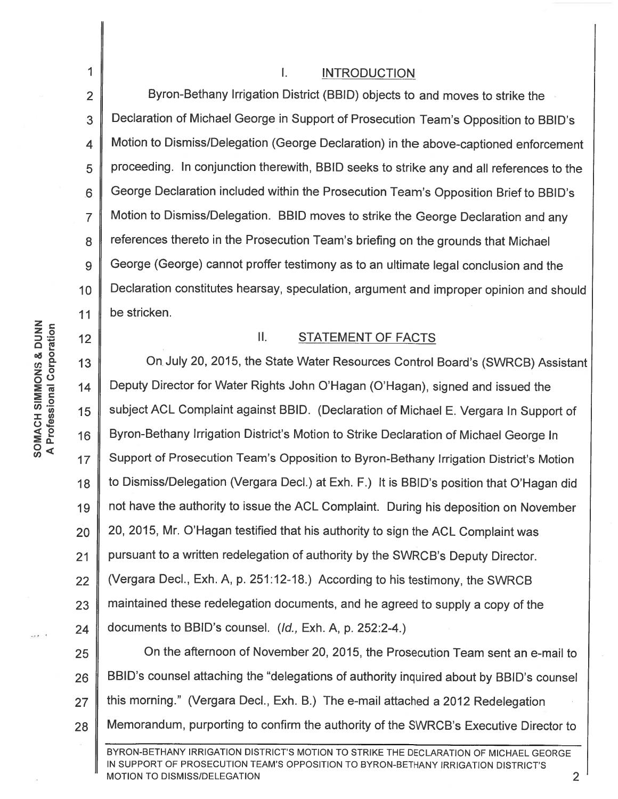1 2 3 4 5 6 7 8 9 10 11 Byron-Bethany Irrigation District (BBID) objects to and moves to strike the Declaration of Michael George in Support of Prosecution Team's Opposition to BBID's Motion to Dismiss/Delegation (George Declaration) in the above-captioned enforcement proceeding. In conjunction therewith, BBID seeks to strike any and all references to the George Declaration included within the Prosecution Team's Opposition Brief to BBID's Motion to Dismiss/Delegation. BBID moves to strike the George Declaration and any references thereto in the Prosecution Team's briefing on the grounds that Michael George (George) cannot proffer testimony as to an ultimate legal conclusion and the Declaration constitutes hearsay, speculation, argument and improper opinion and should be stricken.

## II. STATEMENT OF FACTS

13  $14$  $17$ 18 19 20 21 22 23 24 25 26 27 On July 20, 2015, the State Water Resources Control Board's (SWRCB) Assistant Deputy Director for Water Rights John O'Hagan (O'Hagan), signed and issued the subject ACL Complaint against BBID. (Declaration of Michael E. Vergara In Support of Byron-Bethany Irrigation District's Motion to Strike Declaration of Michael George In Support of Prosecution Team's Opposition to Byron-Bethany Irrigation District's Motion to Dismiss/Delegation (Vergara Decl.) at Exh. F.) It is BBID's position that O'Hagan did not have the authority to issue the ACL Complaint. During his deposition on November 20, 2015, Mr. O'Hagan testified that his authority to sign the ACL Complaint was pursuant to a written redelegation of authority by the SWRCB's Deputy Director. (Vergara Decl., Exh. A, p. 251:12-18.) According to his testimony, the SWRCB maintained these redelegation documents, and he agreed to supply a copy of the documents to BBID's counsel. (/d., Exh. A, p. 252:2-4.) On the afternoon of November 20, 2015, the Prosecution Team sent an e-mail to BBID's counsel attaching the "delegations of authority inquired about by BBID's counsel this morning." (Vergara Decl., Exh. B.) The e-mail attached a 2012 Redelegation

28 Memorandum, purporting to confirm the authority of the SWRCB's Executive Director to

BYRON-BETHANY IRRIGATION DISTRICT'S MOTION TO STRIKE THE DECLARATION OF MICHAEL GEORGE IN SUPPORT OF PROSECUTION TEAM'S OPPOSITION TO BYRON-BETHANY IRRIGATION DISTRICT'S MOTION TO DISMISS/DELEGATION 2

 $12.$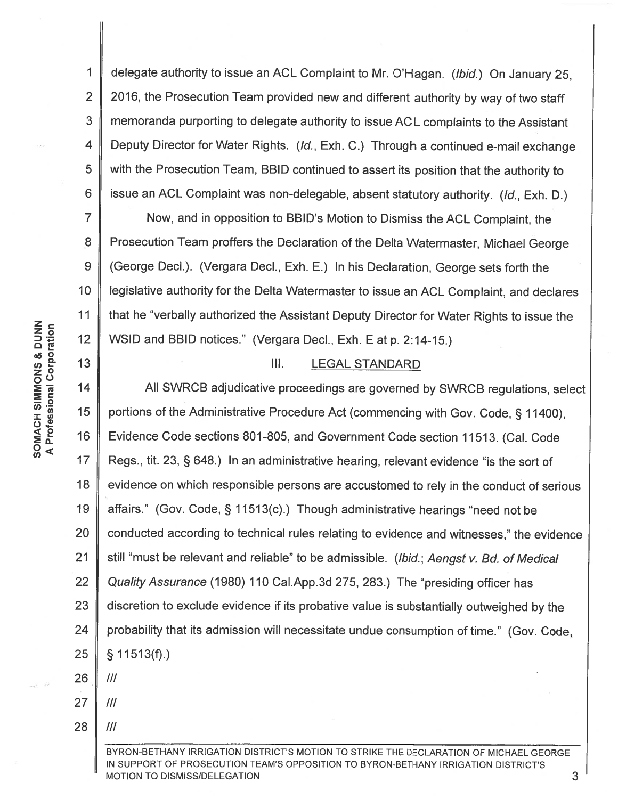1 2 3 4 5 6 delegate authority to issue an ACL Complaint to Mr. O'Hagan. (Ibid.) On January 25, 2016, the Prosecution Team provided new and different authority by way of two staff memoranda purporting to delegate authority to issue AC L complaints to the Assistant Deputy Director for Water Rights. (*Id.*, Exh. C.) Through a continued e-mail exchange with the Prosecution Team, 881D continued to assert its position that the authority to issue an ACL Complaint was non-delegable, absent statutory authority. (/d., Exh. D.)

7 8 9 10 11 Now, and in opposition to 881D's Motion to Dismiss the ACL Complaint, the Prosecution Team proffers the Declaration of the Delta Watermaster, Michael George (George Decl.). (Vergara Decl., Exh. E.) In his Declaration, George sets forth the legislative authority for the Delta Watermaster to issue an ACL Complaint, and declares that he "verbally authorized the Assistant Deputy Director for Water Rights to issue the WSID and BBID notices." (Vergara Decl., Exh. E at p. 2:14-15.)

## Ill. LEGAL STANDARD

0<( *en* <sup>17</sup> 18 19 20 21 22 23 24 25 26 27 All SWRC8 adjudicative proceedings are governed by SWRC8 regulations, select portions of the Administrative Procedure Act (commencing with Gov. Code, § 11400). Evidence Code sections 801-805, and Government Code section 11513. (Cal. Code Regs., tit. 23, § 648.) In an administrative hearing, relevant evidence "is the sort of evidence on which responsible persons are accustomed to rely in the conduct of serious affairs." (Gov. Code, § 11513(c).) Though administrative hearings "need not be conducted according to technical rules relating to evidence and witnesses," the evidence still "must be relevant and reliable" to be admissible. (Ibid.; Aengst v. Bd. of Medical Quality Assurance (1980) 110 Cai.App.3d 275, 283.) The "presiding officer has discretion to exclude evidence if its probative value is substantially outweighed by the probability that its admission will necessitate undue consumption of time." (Gov. Code, § 11513(f).) Ill Ill

BYRON-BETHANY IRRIGATION DISTRICT'S MOTION TO STRIKE THE DECLARATION OF MICHAEL GEORGE IN SUPPORT OF PROSECUTION TEAM'S OPPOSITION TO BYRON-BETHANY IRRIGATION DISTRICT'S MOTION TO DISMISS/DELEGATION **3** 3

 $\frac{25}{10}$   $\frac{5}{10}$   $\frac{12}{12}$ oð O z 0 oo :E"Ci 14 :E 1: SOMACH SIMMONS & DUNN ភ <u>ខូ</u><br>3 ខូ 15<br>ប **ខ**  $\sum_{n=1}^{\infty}$  16

13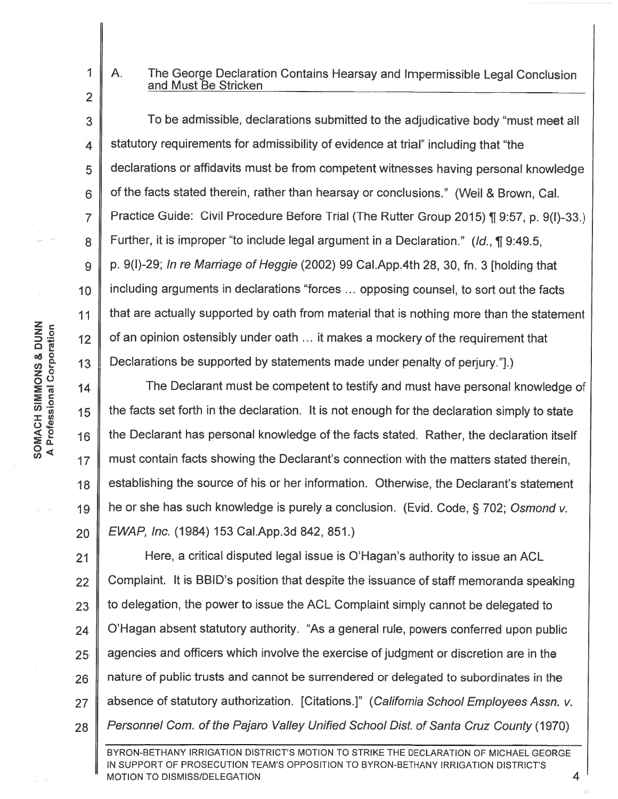1

2

3

4

5

6

7

8

9

10

11

 $12$ 

13

## A. The George Declaration Contains Hearsay and Impermissible Legal Conclusion and Must Be Stricken

To be admissible, declarations submitted to the adjudicative body "must meet all statutory requirements for admissibility of evidence at trial" including that "the declarations or affidavits must be from competent witnesses having personal knowledge of the facts stated therein, rather than hearsay or conclusions." (Weil & Brown, Cal. Practice Guide: Civil Procedure Before Trial (The Rutter Group 2015) ¶ 9:57, p. 9(I)-33.) Further, it is improper "to include legal argument in a Declaration." ( $\mathcal{U}d$ , 19:49.5, p. 9(1)-29; In re Marriage of Heggie (2002) 99 Cai.App.4th 28, 30, fn. 3 [holding that including arguments in declarations "forces ... opposing counsel, to sort out the facts that are actually supported by oath from material that is nothing more than the statement of an opinion ostensibly under oath ... it makes a mockery of the requirement that Declarations be supported by statements made under penalty of perjury."].)

14 18 19 20 The Declarant must be competent to testify and must have personal knowledge of the facts set forth in the declaration. It is not enough for the declaration simply to state the Declarant has personal knowledge of the facts stated. Rather, the declaration itself must contain facts showing the Declarant's connection with the matters stated therein, establishing the source of his or her information. Otherwise, the Declarant's statement he or she has such knowledge is purely a conclusion. (Evid. Code, § 702; Osmond v. EWAP, Inc. (1984) 153 Cai.App.3d 842, 851.)

21 22 23 24 25- 26 27 28 Here, a critical disputed legal issue is O'Hagan's authority to issue an ACL Complaint. It is BBID's position that despite the issuance of staff memoranda speaking to delegation, the power to issue the ACL Complaint simply cannot be delegated to O'Hagan absent statutory authority. "As a general rule, powers conferred upon public agencies and officers which involve the exercise of judgment or discretion are in the nature of public trusts and cannot be surrendered or delegated to subordinates in the absence of statutory authorization. [Citations.]" (California School Employees Assn. v. Personnel Com. of the Pajaro Valley Unified School Dist. of Santa Cruz County (1970)

BYRON-BETHANY IRRIGATION DISTRICT'S MOTION TO STRIKE THE DECLARATION OF MICHAEL GEORGE IN SUPPORT OF PROSECUTION TEAM'S OPPOSITION TO BYRON-BETHANY IRRIGATION DISTRICT'S MOTION TO DISMISS/DELEGATION **4**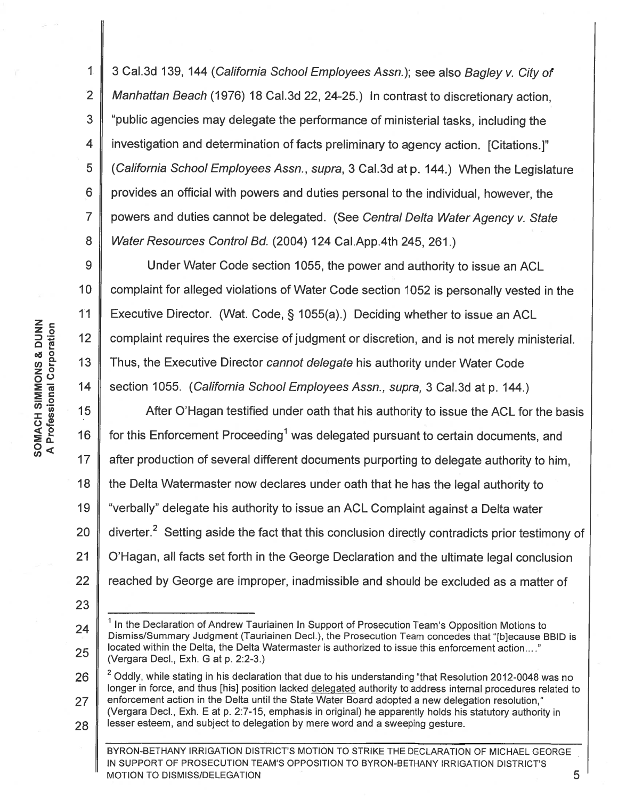1 2 3 4 5 6 7 8 3 Cal.3d 139, 144 (California School Employees Assn.); see also Bagley v. City of Manhattan Beach (1976) 18 Cal. 3d 22, 24-25.) In contrast to discretionary action, "public agencies may delegate the performance of ministerial tasks, including the investigation and determination of facts preliminary to agency action. [Citations.]" (California School Employees Assn., supra, 3 Cal.3d at p. 144.) When the Legislature provides an official with powers and duties personal to the individual, however, the powers and duties cannot be delegated. (See Central Delta Water Agency v. State Water Resources Control Bd. (2004) 124 Cai.App.4th 245, 261.)

9 10 11  $12$ *ene-* 13 14 Under Water Code section 1055, the power and authority to issue an ACL complaint for alleged violations of Water Code section 1052 is personally vested in the Executive Director. (Wat. Code, § 1 055(a).) Deciding whether to issue an ACL complaint requires the exercise of judgment or discretion, and is not merely ministerial. Thus, the Executive Director cannot delegate his authority under Water Code section 1055. (California School Employees Assn., supra, 3 Cal.3d at p. 144.)

0<( *en* <sup>17</sup> 18 19 20 21 22 After O'Hagan testified under oath that his authority to issue the ACL for the basis for this Enforcement Proceeding<sup>1</sup> was delegated pursuant to certain documents, and after production of several different documents purporting to delegate authority to him, the Delta Watermaster now declares under oath that he has the legal authority to "verbally" delegate his authority to issue an ACL Complaint against a Delta water diverter.<sup>2</sup> Setting aside the fact that this conclusion directly contradicts prior testimony of O'Hagan, all facts set forth in the George Declaration and the ultimate legal conclusion reached by George are improper, inadmissible and should be excluded as a matter of

23

<sup>24</sup>  25  $<sup>1</sup>$  In the Declaration of Andrew Tauriainen In Support of Prosecution Team's Opposition Motions to</sup> Dismiss/Summary Judgment (Tauriainen Decl.), the Prosecution Team concedes that "[b]ecause BBID is located within the Delta, the Delta Watermaster is authorized to issue this enforcement action...." (Vergara Decl., Exh. Gat p. 2:2-3.)

<sup>26</sup>  27 28 <sup>2</sup> Oddly, while stating in his declaration that due to his understanding "that Resolution 2012-0048 was no longer in force, and thus [his] position lacked delegated authority to address internal procedures related to enforcement action in the Delta until the State Water Board adopted a new delegation resolution," (Vergara Decl., Exh. Eat p. 2:7-15, emphasis in original) he apparently holds his statutory authority in lesser esteem, and subject to delegation by mere word and a sweeping gesture.

BYRON-BETHANY IRRIGATION DISTRICT'S MOTION TO STRIKE THE DECLARATION OF MICHAEL GEORGE IN SUPPORT OF PROSECUTION TEAM'S OPPOSITION TO BYRON-BETHANY IRRIGATION DISTRICT'S MOTION TO DISMISS/DELEGATION **5**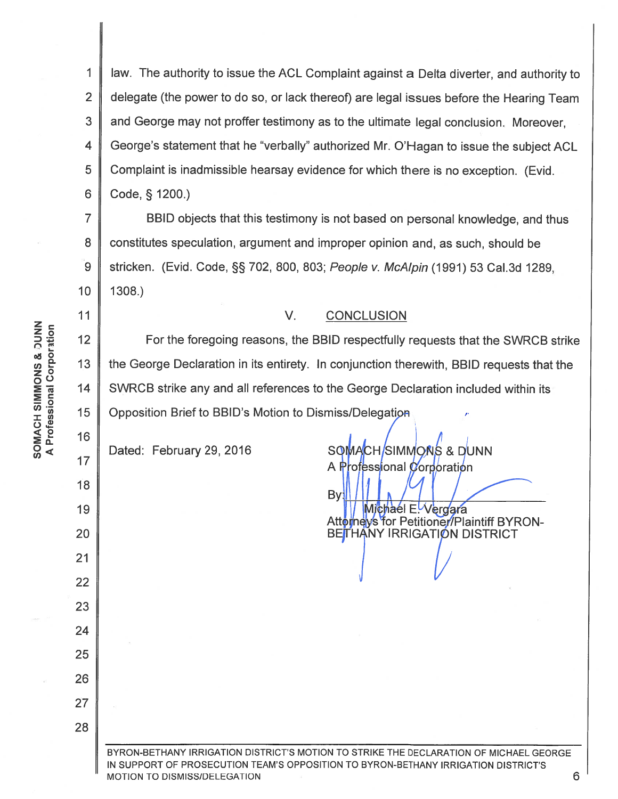$\mathbf{1}$ law. The authority to issue the ACL Complaint against a Delta diverter, and authority to  $\overline{2}$ delegate (the power to do so, or lack thereof) are legal issues before the Hearing Team 3 and George may not proffer testimony as to the ultimate legal conclusion. Moreover, 4 George's statement that he "verbally" authorized Mr. O'Hagan to issue the subject ACL Complaint is inadmissible hearsay evidence for which there is no exception. (Evid. 5 6 Code, § 1200.)

 $\overline{7}$ BBID objects that this testimony is not based on personal knowledge, and thus constitutes speculation, argument and improper opinion and, as such, should be 8  $\overline{9}$ stricken. (Evid. Code, §§ 702, 800, 803; People v. McAlpin (1991) 53 Cal.3d 1289,  $10$ 1308.)

## $V_{\cdot}$ **CONCLUSION**

 $12$ For the foregoing reasons, the BBID respectfully requests that the SWRCB strike 13 the George Declaration in its entirety. In conjunction therewith, BBID requests that the SWRCB strike any and all references to the George Declaration included within its 14 15 Opposition Brief to BBID's Motion to Dismiss/Delegation

Dated: February 29, 2016

SOMACH/SIMMONS & DUNN A Professional Corporation

By Michael E-Vergara Attotneys for Petitioner/Plaintiff BYRON-BETHANY IRRIGATION DISTRICT

6

BYRON-BETHANY IRRIGATION DISTRICT'S MOTION TO STRIKE THE DECLARATION OF MICHAEL GEORGE IN SUPPORT OF PROSECUTION TEAM'S OPPOSITION TO BYRON-BETHANY IRRIGATION DISTRICT'S MOTION TO DISMISS/DELEGATION

 $11$ 

16

 $17$ 

18

19

20

 $21$ 

22

23

24

25

26

 $27$ 

28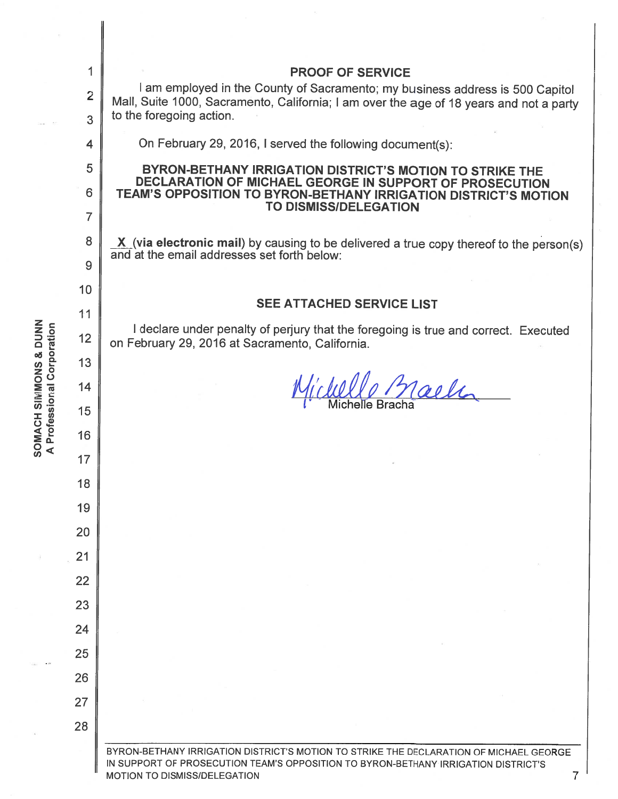|                                                    | 1              | <b>PROOF OF SERVICE</b>                                                                                                                                                                                                |  |  |
|----------------------------------------------------|----------------|------------------------------------------------------------------------------------------------------------------------------------------------------------------------------------------------------------------------|--|--|
|                                                    | $\overline{2}$ | I am employed in the County of Sacramento; my business address is 500 Capitol<br>Mall, Suite 1000, Sacramento, California; I am over the age of 18 years and not a party                                               |  |  |
|                                                    | 3              | to the foregoing action.                                                                                                                                                                                               |  |  |
|                                                    | 4              | On February 29, 2016, I served the following document(s):                                                                                                                                                              |  |  |
|                                                    | 5              | BYRON-BETHANY IRRIGATION DISTRICT'S MOTION TO STRIKE THE<br>DECLARATION OF MICHAEL GEORGE IN SUPPORT OF PROSECUTION<br>TEAM'S OPPOSITION TO BYRON-BETHANY IRRIGATION DISTRICT'S MOTION<br><b>TO DISMISS/DELEGATION</b> |  |  |
|                                                    | 6              |                                                                                                                                                                                                                        |  |  |
|                                                    | 7              |                                                                                                                                                                                                                        |  |  |
|                                                    | 8              | $X$ (via electronic mail) by causing to be delivered a true copy thereof to the person(s)<br>and at the email addresses set forth below:                                                                               |  |  |
|                                                    | 9              |                                                                                                                                                                                                                        |  |  |
|                                                    | 10             | <b>SEE ATTACHED SERVICE LIST</b>                                                                                                                                                                                       |  |  |
|                                                    | 11             |                                                                                                                                                                                                                        |  |  |
|                                                    | 12             | I declare under penalty of perjury that the foregoing is true and correct. Executed<br>on February 29, 2016 at Sacramento, California.                                                                                 |  |  |
|                                                    | 13             |                                                                                                                                                                                                                        |  |  |
| <b>NUMBINES HOVEOS</b><br>Professional Corporation | 14             | Maele                                                                                                                                                                                                                  |  |  |
|                                                    | 15             |                                                                                                                                                                                                                        |  |  |
|                                                    | 16             |                                                                                                                                                                                                                        |  |  |
|                                                    | 17             |                                                                                                                                                                                                                        |  |  |
|                                                    | 18             |                                                                                                                                                                                                                        |  |  |
|                                                    | 19             |                                                                                                                                                                                                                        |  |  |
|                                                    | 20             |                                                                                                                                                                                                                        |  |  |
|                                                    | 21             |                                                                                                                                                                                                                        |  |  |
|                                                    | 22             |                                                                                                                                                                                                                        |  |  |
|                                                    | 23             |                                                                                                                                                                                                                        |  |  |
|                                                    | 24             |                                                                                                                                                                                                                        |  |  |
|                                                    | 25             |                                                                                                                                                                                                                        |  |  |
|                                                    | 26             |                                                                                                                                                                                                                        |  |  |
|                                                    | 27             |                                                                                                                                                                                                                        |  |  |
|                                                    | 28             |                                                                                                                                                                                                                        |  |  |
|                                                    |                | BYRON-BETHANY IRRIGATION DISTRICT'S MOTION TO STRIKE THE DECLARATION OF MICHAEL GEORGE<br>IN SUPPORT OF PROSECUTION TEAM'S OPPOSITION TO BYRON-BETHANY IRRIGATION DISTRICT'S<br>MOTION TO DISMISS/DELEGATION<br>7      |  |  |

 $\frac{1}{2}$  and i.

 $\widehat{\alpha}$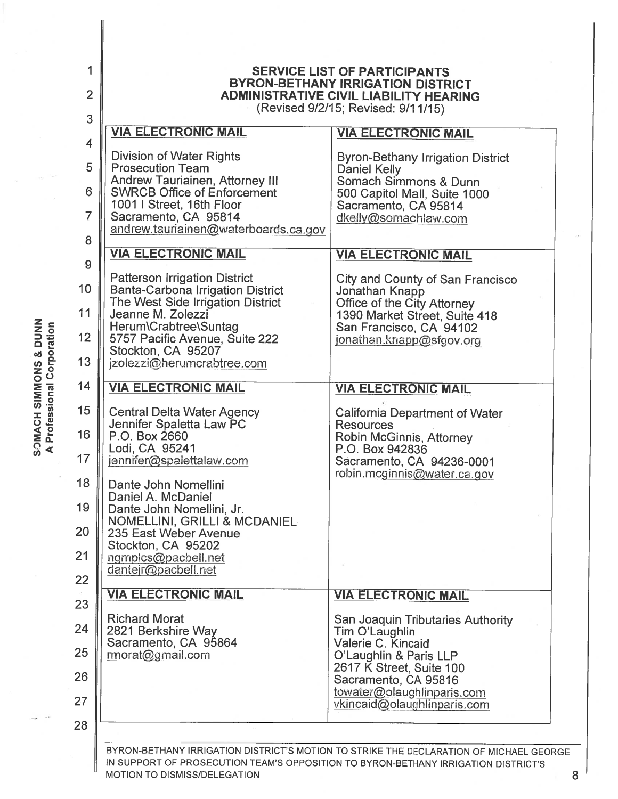| $\overline{2}$<br>3 | <b>BYRON-BETHANY IRRIGATION DISTRICT</b><br><b>ADMINISTRATIVE CIVIL LIABILITY HEARING</b><br>(Revised 9/2/15; Revised: 9/11/15) |                                                                                         |  |  |  |
|---------------------|---------------------------------------------------------------------------------------------------------------------------------|-----------------------------------------------------------------------------------------|--|--|--|
|                     | <b>VIA ELECTRONIC MAIL</b>                                                                                                      | <b>VIA ELECTRONIC MAIL</b>                                                              |  |  |  |
| 4<br>5              | Division of Water Rights<br><b>Prosecution Team</b><br><b>Andrew Tauriainen, Attorney III</b>                                   | <b>Byron-Bethany Irrigation District</b><br>Daniel Kelly<br>Somach Simmons & Dunn       |  |  |  |
| 6                   | <b>SWRCB Office of Enforcement</b><br>1001 I Street, 16th Floor                                                                 | 500 Capitol Mall, Suite 1000<br>Sacramento, CA 95814                                    |  |  |  |
|                     | Sacramento, CA 95814<br>andrew.tauriainen@waterboards.ca.gov                                                                    | dkelly@somachlaw.com                                                                    |  |  |  |
|                     | <b>VIA ELECTRONIC MAIL</b>                                                                                                      | <b>VIA ELECTRONIC MAIL</b>                                                              |  |  |  |
|                     | <b>Patterson Irrigation District</b><br><b>Banta-Carbona Irrigation District</b>                                                | <b>City and County of San Francisco</b><br>Jonathan Knapp                               |  |  |  |
|                     | The West Side Irrigation District<br>Jeanne M. Zolezzi<br>Herum\Crabtree\Suntag                                                 | Office of the City Attorney<br>1390 Market Street, Suite 418<br>San Francisco, CA 94102 |  |  |  |
|                     | 5757 Pacific Avenue, Suite 222<br>Stockton, CA 95207<br>jzolezzi@herumcrabtree.com                                              | jonathan.knapp@sfgov.org                                                                |  |  |  |
|                     | <b>VIA ELECTRONIC MAIL</b>                                                                                                      | <b>VIA ELECTRONIC MAIL</b>                                                              |  |  |  |
|                     |                                                                                                                                 |                                                                                         |  |  |  |
|                     | <b>Central Delta Water Agency</b><br>Jennifer Spaletta Law PC<br>P.O. Box 2660                                                  | <b>California Department of Water</b><br><b>Resources</b><br>Robin McGinnis, Attorney   |  |  |  |
|                     | Lodi, CA 95241<br>jennifer@spalettalaw.com                                                                                      | P.O. Box 942836<br>Sacramento, CA 94236-0001<br>robin.mcginnis@water.ca.gov             |  |  |  |
|                     | Dante John Nomellini<br>Daniel A. McDaniel<br>Dante John Nomellini, Jr.                                                         |                                                                                         |  |  |  |
|                     | NOMELLINI, GRILLI & MCDANIEL<br>235 East Weber Avenue                                                                           |                                                                                         |  |  |  |
|                     | Stockton, CA 95202<br>ngmplcs@pacbell.net<br>dantejr@pacbell.net                                                                |                                                                                         |  |  |  |
|                     | <b>VIA ELECTRONIC MAIL</b>                                                                                                      | <b>VIA ELECTRONIC MAIL</b>                                                              |  |  |  |
|                     | <b>Richard Morat</b>                                                                                                            |                                                                                         |  |  |  |
|                     | 2821 Berkshire Way<br>Sacramento, CA 95864                                                                                      | San Joaquin Tributaries Authority<br>Tim O'Laughlin<br>Valerie C. Kincaid               |  |  |  |
|                     | rmorat@gmail.com                                                                                                                | O'Laughlin & Paris LLP<br>2617 K Street, Suite 100<br>Sacramento, CA 95816              |  |  |  |
|                     |                                                                                                                                 | towater@olaughlinparis.com<br>vkincaid@olaughlinparis.com                               |  |  |  |
|                     |                                                                                                                                 |                                                                                         |  |  |  |

**SOMACH SIMMONS & DUNN<br>A Professional Corporation** 

 $\sim$ 

MOTION TO DISMISS/DELEGATION 8 AND THE SERVICE OF SALE AND STRUCK AND STRUCK AND STRUCK AND STRUCK AND STRUCK A

ò.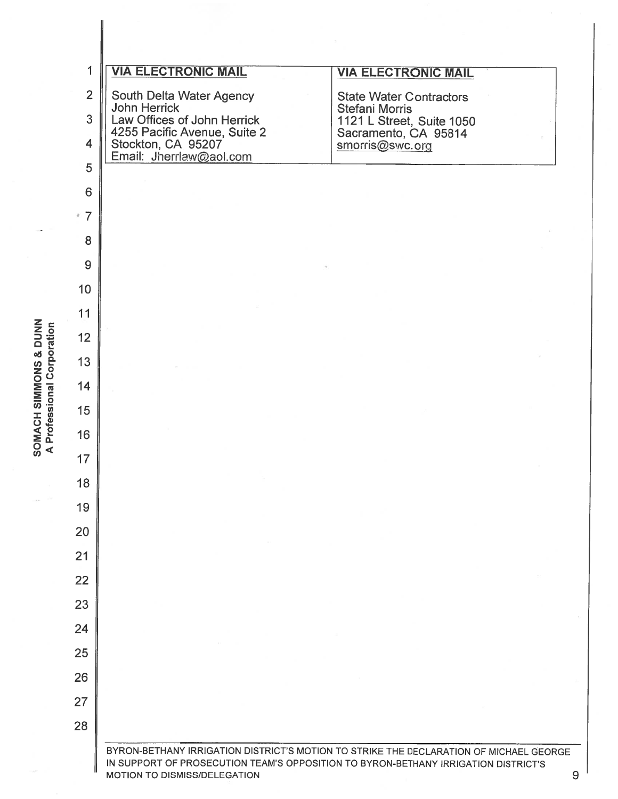| $\overline{2}$               | <b>VIA ELECTRONIC MAIL</b><br>South Delta Water Agency | <b>VIA ELECTRONIC MAIL</b><br><b>State Water Contractors</b> |
|------------------------------|--------------------------------------------------------|--------------------------------------------------------------|
| 3                            | <b>John Herrick</b><br>Law Offices of John Herrick     | Stefani Morris<br>1121 L Street, Suite 1050                  |
| $\overline{4}$               | 4255 Pacific Avenue, Suite 2<br>Stockton, CA 95207     | Sacramento, CA 95814<br>smorris@swc.org                      |
| 5                            | Email: Jherrlaw@aol.com                                |                                                              |
| 6                            |                                                        |                                                              |
| $\overline{7}$<br>$\partial$ |                                                        |                                                              |
| 8                            |                                                        |                                                              |
| 9                            |                                                        |                                                              |
| 10                           |                                                        |                                                              |
| 11                           |                                                        |                                                              |
| 12                           |                                                        |                                                              |
| 13                           |                                                        |                                                              |
| 14                           |                                                        |                                                              |
| 15                           |                                                        |                                                              |
| 16                           |                                                        |                                                              |
| 17                           |                                                        |                                                              |
| 18                           |                                                        |                                                              |
| 19                           |                                                        |                                                              |
| 20                           |                                                        |                                                              |
| 21                           |                                                        |                                                              |
| 22                           |                                                        |                                                              |
| 23                           |                                                        |                                                              |
| 24                           |                                                        |                                                              |
| 25                           |                                                        |                                                              |
| 26                           |                                                        |                                                              |
| 27                           |                                                        |                                                              |
| 28                           |                                                        |                                                              |

SOMACH SIMMONS & DUNN